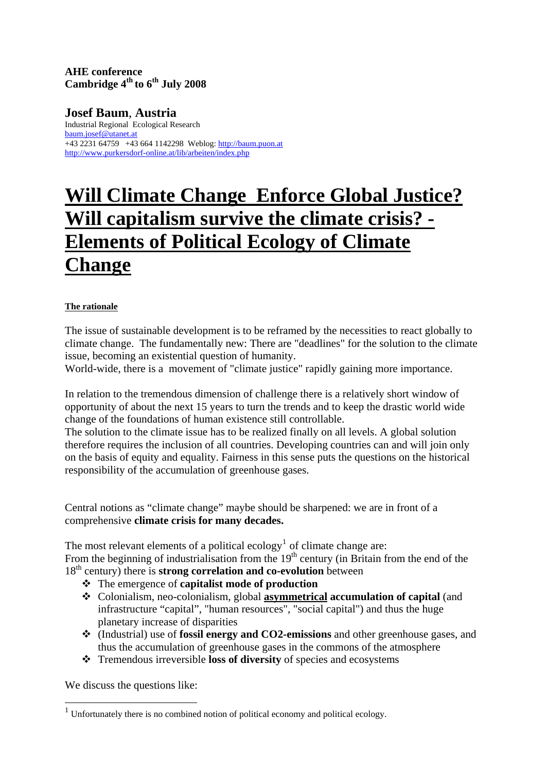## **AHE conference**  Cambridge 4<sup>th</sup> to 6<sup>th</sup> July 2008

**Josef Baum**, **Austria** Industrial Regional Ecological Research [baum.josef@utanet.at](mailto:baum.josef@utanet.at) +43 2231 64759 +43 664 1142298 Weblog: [http://baum.puon.at](http://baum.puon.at/) <http://www.purkersdorf-online.at/lib/arbeiten/index.php>

# **Will Climate Change Enforce Global Justice? Will capitalism survive the climate crisis? - Elements of Political Ecology of Climate Change**

#### **The rationale**

The issue of sustainable development is to be reframed by the necessities to react globally to climate change. The fundamentally new: There are "deadlines" for the solution to the climate issue, becoming an existential question of humanity.

World-wide, there is a movement of "climate justice" rapidly gaining more importance.

In relation to the tremendous dimension of challenge there is a relatively short window of opportunity of about the next 15 years to turn the trends and to keep the drastic world wide change of the foundations of human existence still controllable.

The solution to the climate issue has to be realized finally on all levels. A global solution therefore requires the inclusion of all countries. Developing countries can and will join only on the basis of equity and equality. Fairness in this sense puts the questions on the historical responsibility of the accumulation of greenhouse gases.

Central notions as "climate change" maybe should be sharpened: we are in front of a comprehensive **climate crisis for many decades.**

The most relevant elements of a political ecology<sup>[1](#page-0-0)</sup> of climate change are: From the beginning of industrialisation from the  $19<sup>th</sup>$  century (in Britain from the end of the 18<sup>th</sup> century) there is **strong correlation and co-evolution** between

- The emergence of **capitalist mode of production**
- Colonialism, neo-colonialism, global **asymmetrical accumulation of capital** (and infrastructure "capital", "human resources", "social capital") and thus the huge planetary increase of disparities
- (Industrial) use of **fossil energy and CO2-emissions** and other greenhouse gases, and thus the accumulation of greenhouse gases in the commons of the atmosphere
- Tremendous irreversible **loss of diversity** of species and ecosystems

We discuss the questions like:

<span id="page-0-0"></span><sup>&</sup>lt;sup>1</sup> Unfortunately there is no combined notion of political economy and political ecology.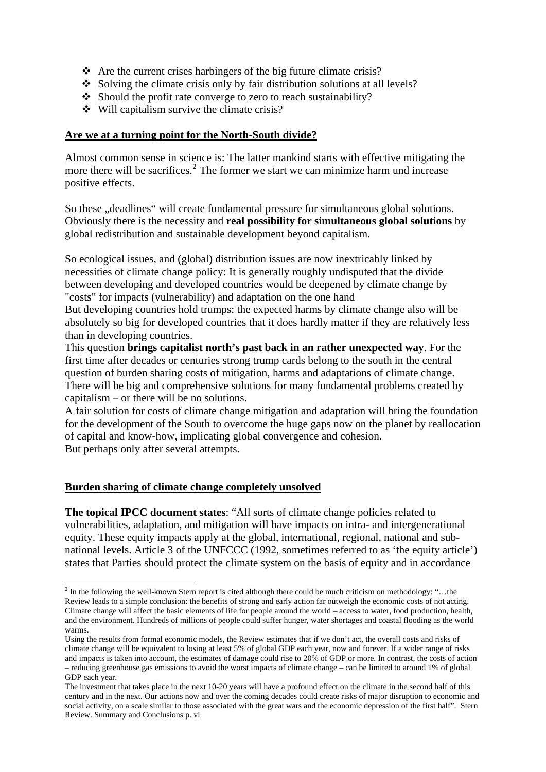- $\triangle$  Are the current crises harbingers of the big future climate crisis?
- $\bullet$  Solving the climate crisis only by fair distribution solutions at all levels?
- $\triangle$  Should the profit rate converge to zero to reach sustainability?
- Will capitalism survive the climate crisis?

### **Are we at a turning point for the North-South divide?**

Almost common sense in science is: The latter mankind starts with effective mitigating the more there will be sacrifices.<sup>[2](#page-1-0)</sup> The former we start we can minimize harm und increase positive effects.

So these "deadlines" will create fundamental pressure for simultaneous global solutions. Obviously there is the necessity and **real possibility for simultaneous global solutions** by global redistribution and sustainable development beyond capitalism.

So ecological issues, and (global) distribution issues are now inextricably linked by necessities of climate change policy: It is generally roughly undisputed that the divide between developing and developed countries would be deepened by climate change by "costs" for impacts (vulnerability) and adaptation on the one hand

But developing countries hold trumps: the expected harms by climate change also will be absolutely so big for developed countries that it does hardly matter if they are relatively less than in developing countries.

This question **brings capitalist north's past back in an rather unexpected way**. For the first time after decades or centuries strong trump cards belong to the south in the central question of burden sharing costs of mitigation, harms and adaptations of climate change. There will be big and comprehensive solutions for many fundamental problems created by capitalism – or there will be no solutions.

A fair solution for costs of climate change mitigation and adaptation will bring the foundation for the development of the South to overcome the huge gaps now on the planet by reallocation of capital and know-how, implicating global convergence and cohesion. But perhaps only after several attempts.

#### **Burden sharing of climate change completely unsolved**

 $\overline{a}$ 

**The topical IPCC document states**: "All sorts of climate change policies related to vulnerabilities, adaptation, and mitigation will have impacts on intra- and intergenerational equity. These equity impacts apply at the global, international, regional, national and subnational levels. Article 3 of the UNFCCC (1992, sometimes referred to as 'the equity article') states that Parties should protect the climate system on the basis of equity and in accordance

<span id="page-1-0"></span> $2$  In the following the well-known Stern report is cited although there could be much criticism on methodology: "...the Review leads to a simple conclusion: the benefits of strong and early action far outweigh the economic costs of not acting. Climate change will affect the basic elements of life for people around the world – access to water, food production, health, and the environment. Hundreds of millions of people could suffer hunger, water shortages and coastal flooding as the world warms.

Using the results from formal economic models, the Review estimates that if we don't act, the overall costs and risks of climate change will be equivalent to losing at least 5% of global GDP each year, now and forever. If a wider range of risks and impacts is taken into account, the estimates of damage could rise to 20% of GDP or more. In contrast, the costs of action – reducing greenhouse gas emissions to avoid the worst impacts of climate change – can be limited to around 1% of global GDP each year.

The investment that takes place in the next 10-20 years will have a profound effect on the climate in the second half of this century and in the next. Our actions now and over the coming decades could create risks of major disruption to economic and social activity, on a scale similar to those associated with the great wars and the economic depression of the first half". Stern Review. Summary and Conclusions p. vi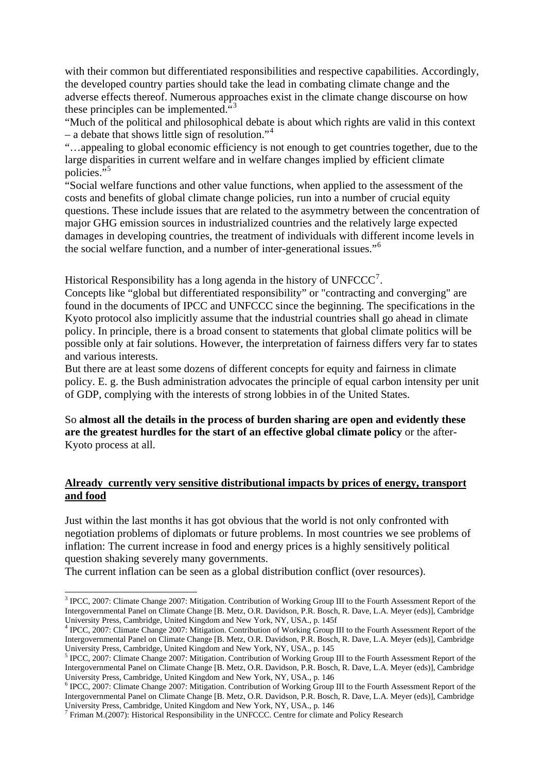with their common but differentiated responsibilities and respective capabilities. Accordingly, the developed country parties should take the lead in combating climate change and the adverse effects thereof. Numerous approaches exist in the climate change discourse on how these principles can be implemented."[3](#page-2-0)

"Much of the political and philosophical debate is about which rights are valid in this context – a debate that shows little sign of resolution."<sup>[4](#page-2-1)</sup>

"…appealing to global economic efficiency is not enough to get countries together, due to the large disparities in current welfare and in welfare changes implied by efficient climate policies."

"Social welfare functions and other value functions, when applied to the assessment of the costs and benefits of global climate change policies, run into a number of crucial equity questions. These include issues that are related to the asymmetry between the concentration of major GHG emission sources in industrialized countries and the relatively large expected damages in developing countries, the treatment of individuals with different income levels in the social welfare function, and a number of inter-generational issues."[6](#page-2-3)

Historical Responsibility has a long agenda in the history of  $UNFCCC<sup>7</sup>$  $UNFCCC<sup>7</sup>$  $UNFCCC<sup>7</sup>$ .

Concepts like "global but differentiated responsibility" or "contracting and converging" are found in the documents of IPCC and UNFCCC since the beginning. The specifications in the Kyoto protocol also implicitly assume that the industrial countries shall go ahead in climate policy. In principle, there is a broad consent to statements that global climate politics will be possible only at fair solutions. However, the interpretation of fairness differs very far to states and various interests.

But there are at least some dozens of different concepts for equity and fairness in climate policy. E. g. the Bush administration advocates the principle of equal carbon intensity per unit of GDP, complying with the interests of strong lobbies in of the United States.

So **almost all the details in the process of burden sharing are open and evidently these are the greatest hurdles for the start of an effective global climate policy** or the after-Kyoto process at all.

#### **Already currently very sensitive distributional impacts by prices of energy, transport and food**

Just within the last months it has got obvious that the world is not only confronted with negotiation problems of diplomats or future problems. In most countries we see problems of inflation: The current increase in food and energy prices is a highly sensitively political question shaking severely many governments.

The current inflation can be seen as a global distribution conflict (over resources).

<span id="page-2-0"></span> 3 IPCC, 2007: Climate Change 2007: Mitigation. Contribution of Working Group III to the Fourth Assessment Report of the Intergovernmental Panel on Climate Change [B. Metz, O.R. Davidson, P.R. Bosch, R. Dave, L.A. Meyer (eds)], Cambridge University Press, Cambridge, United Kingdom and New York, NY, USA., p. 145f

<span id="page-2-1"></span><sup>4</sup> IPCC, 2007: Climate Change 2007: Mitigation. Contribution of Working Group III to the Fourth Assessment Report of the Intergovernmental Panel on Climate Change [B. Metz, O.R. Davidson, P.R. Bosch, R. Dave, L.A. Meyer (eds)], Cambridge University Press, Cambridge, United Kingdom and New York, NY, USA., p. 145

<span id="page-2-2"></span><sup>&</sup>lt;sup>5</sup> IPCC, 2007: Climate Change 2007: Mitigation. Contribution of Working Group III to the Fourth Assessment Report of the Intergovernmental Panel on Climate Change [B. Metz, O.R. Davidson, P.R. Bosch, R. Dave, L.A. Meyer (eds)], Cambridge University Press, Cambridge, United Kingdom and New York, NY, USA., p. 146

<span id="page-2-3"></span><sup>&</sup>lt;sup>6</sup> IPCC, 2007: Climate Change 2007: Mitigation. Contribution of Working Group III to the Fourth Assessment Report of the Intergovernmental Panel on Climate Change [B. Metz, O.R. Davidson, P.R. Bosch, R. Dave, L.A. Meyer (eds)], Cambridge University Press, Cambridge, United Kingdom and New York, NY, USA., p. 146

<span id="page-2-4"></span> $^7$  Friman M.(2007): Historical Responsibility in the UNFCCC. Centre for climate and Policy Research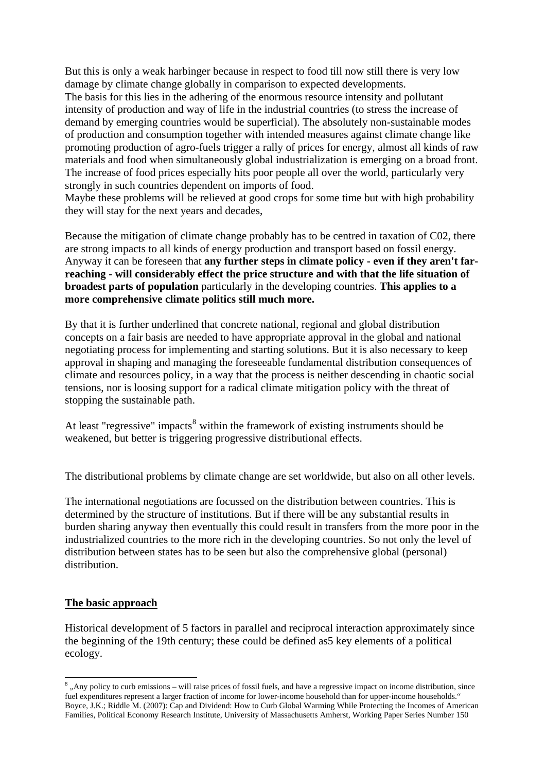But this is only a weak harbinger because in respect to food till now still there is very low damage by climate change globally in comparison to expected developments. The basis for this lies in the adhering of the enormous resource intensity and pollutant intensity of production and way of life in the industrial countries (to stress the increase of demand by emerging countries would be superficial). The absolutely non-sustainable modes of production and consumption together with intended measures against climate change like promoting production of agro-fuels trigger a rally of prices for energy, almost all kinds of raw materials and food when simultaneously global industrialization is emerging on a broad front. The increase of food prices especially hits poor people all over the world, particularly very strongly in such countries dependent on imports of food.

Maybe these problems will be relieved at good crops for some time but with high probability they will stay for the next years and decades,

Because the mitigation of climate change probably has to be centred in taxation of C02, there are strong impacts to all kinds of energy production and transport based on fossil energy. Anyway it can be foreseen that **any further steps in climate policy - even if they aren't farreaching - will considerably effect the price structure and with that the life situation of broadest parts of population** particularly in the developing countries. **This applies to a more comprehensive climate politics still much more.** 

By that it is further underlined that concrete national, regional and global distribution concepts on a fair basis are needed to have appropriate approval in the global and national negotiating process for implementing and starting solutions. But it is also necessary to keep approval in shaping and managing the foreseeable fundamental distribution consequences of climate and resources policy, in a way that the process is neither descending in chaotic social tensions, nor is loosing support for a radical climate mitigation policy with the threat of stopping the sustainable path.

At least "regressive" impacts<sup>[8](#page-3-0)</sup> within the framework of existing instruments should be weakened, but better is triggering progressive distributional effects.

The distributional problems by climate change are set worldwide, but also on all other levels.

The international negotiations are focussed on the distribution between countries. This is determined by the structure of institutions. But if there will be any substantial results in burden sharing anyway then eventually this could result in transfers from the more poor in the industrialized countries to the more rich in the developing countries. So not only the level of distribution between states has to be seen but also the comprehensive global (personal) distribution.

#### **The basic approach**

Historical development of 5 factors in parallel and reciprocal interaction approximately since the beginning of the 19th century; these could be defined as5 key elements of a political ecology.

<span id="page-3-0"></span><sup>&</sup>lt;sup>8</sup>, Any policy to curb emissions – will raise prices of fossil fuels, and have a regressive impact on income distribution, since fuel expenditures represent a larger fraction of income for lower-income household than for upper-income households." Boyce, J.K.; Riddle M. (2007): Cap and Dividend: How to Curb Global Warming While Protecting the Incomes of American Families, Political Economy Research Institute, University of Massachusetts Amherst, Working Paper Series Number 150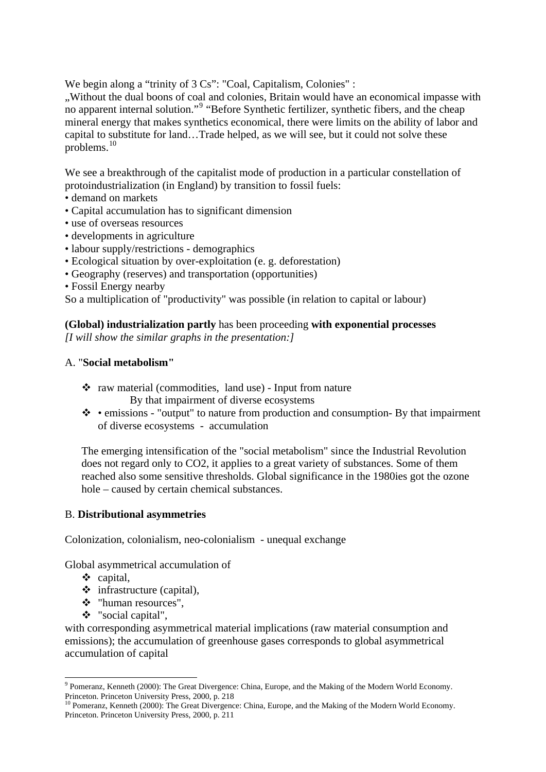We begin along a "trinity of 3 Cs": "Coal, Capitalism, Colonies" :

"Without the dual boons of coal and colonies, Britain would have an economical impasse with no apparent internal solution."<sup>[9](#page-4-0)</sup> "Before Synthetic fertilizer, synthetic fibers, and the cheap mineral energy that makes synthetics economical, there were limits on the ability of labor and capital to substitute for land…Trade helped, as we will see, but it could not solve these problems.[10](#page-4-1)

We see a breakthrough of the capitalist mode of production in a particular constellation of protoindustrialization (in England) by transition to fossil fuels:

- demand on markets
- Capital accumulation has to significant dimension
- use of overseas resources
- developments in agriculture
- labour supply/restrictions demographics
- Ecological situation by over-exploitation (e. g. deforestation)
- Geography (reserves) and transportation (opportunities)
- Fossil Energy nearby

So a multiplication of "productivity" was possible (in relation to capital or labour)

**(Global) industrialization partly** has been proceeding **with exponential processes**  *[I will show the similar graphs in the presentation:]* 

## A. "**Social metabolism"**

- $\cdot \cdot$  raw material (commodities, land use) Input from nature By that impairment of diverse ecosystems
- emissions "output" to nature from production and consumption- By that impairment of diverse ecosystems - accumulation

The emerging intensification of the "social metabolism" since the Industrial Revolution does not regard only to CO2, it applies to a great variety of substances. Some of them reached also some sensitive thresholds. Global significance in the 1980ies got the ozone hole – caused by certain chemical substances.

## B. **Distributional asymmetries**

Colonization, colonialism, neo-colonialism - unequal exchange

Global asymmetrical accumulation of

- capital,
- $\div$  infrastructure (capital),
- "human resources",
- "social capital",

with corresponding asymmetrical material implications (raw material consumption and emissions); the accumulation of greenhouse gases corresponds to global asymmetrical accumulation of capital

<span id="page-4-0"></span> 9 Pomeranz, Kenneth (2000): The Great Divergence: China, Europe, and the Making of the Modern World Economy. Princeton. Princeton University Press, 2000, p. 218

<span id="page-4-1"></span><sup>&</sup>lt;sup>10</sup> Pomeranz, Kenneth (2000): The Great Divergence: China, Europe, and the Making of the Modern World Economy. Princeton. Princeton University Press, 2000, p. 211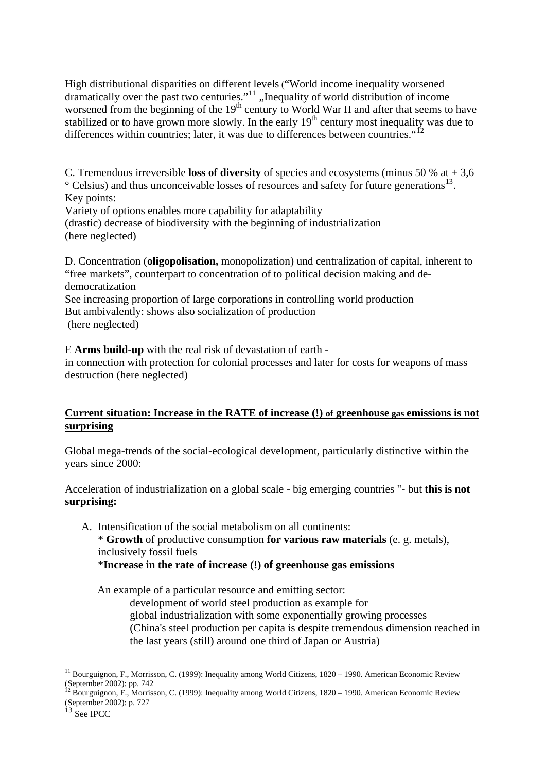High distributional disparities on different levels ("World income inequality worsened dramatically over the past two centuries." $11$ , Inequality of world distribution of income worsened from the beginning of the  $19<sup>th</sup>$  century to World War II and after that seems to have stabilized or to have grown more slowly. In the early  $19<sup>th</sup>$  century most inequality was due to differences within countries; later, it was due to differences between countries.  $12$ 

C. Tremendous irreversible **loss of diversity** of species and ecosystems (minus 50 % at + 3,6  $\degree$  Celsius) and thus unconceivable losses of resources and safety for future generations<sup>[13](#page-5-2)</sup>. Key points:

Variety of options enables more capability for adaptability

(drastic) decrease of biodiversity with the beginning of industrialization (here neglected)

D. Concentration (**oligopolisation,** monopolization) und centralization of capital, inherent to "free markets", counterpart to concentration of to political decision making and dedemocratization

See increasing proportion of large corporations in controlling world production But ambivalently: shows also socialization of production (here neglected)

E **Arms build-up** with the real risk of devastation of earth -

in connection with protection for colonial processes and later for costs for weapons of mass destruction (here neglected)

## **Current situation: Increase in the RATE of increase (!) of greenhouse gas emissions is not surprising**

Global mega-trends of the social-ecological development, particularly distinctive within the years since 2000:

Acceleration of industrialization on a global scale - big emerging countries "- but **this is not surprising:** 

A. Intensification of the social metabolism on all continents: \* **Growth** of productive consumption **for various raw materials** (e. g. metals), inclusively fossil fuels \***Increase in the rate of increase (!) of greenhouse gas emissions**

An example of a particular resource and emitting sector:

development of world steel production as example for

global industrialization with some exponentially growing processes

(China's steel production per capita is despite tremendous dimension reached in the last years (still) around one third of Japan or Austria)

<span id="page-5-0"></span> $11$  Bourguignon, F., Morrisson, C. (1999): Inequality among World Citizens, 1820 – 1990. American Economic Review (September 2002): pp. 742

<span id="page-5-1"></span><sup>&</sup>lt;sup>12</sup> Bourguignon, F., Morrisson, C. (1999): Inequality among World Citizens, 1820 – 1990. American Economic Review (September 2002): p. 727

<span id="page-5-2"></span> $\frac{13}{13}$  See IPCC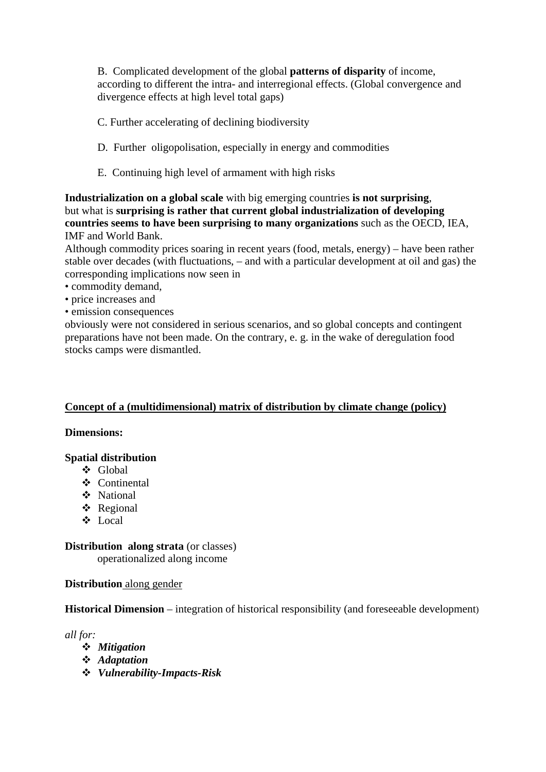B. Complicated development of the global **patterns of disparity** of income, according to different the intra- and interregional effects. (Global convergence and divergence effects at high level total gaps)

- C. Further accelerating of declining biodiversity
- D. Further oligopolisation, especially in energy and commodities
- E. Continuing high level of armament with high risks

**Industrialization on a global scale** with big emerging countries **is not surprising**, but what is **surprising is rather that current global industrialization of developing countries seems to have been surprising to many organizations** such as the OECD, IEA, IMF and World Bank.

Although commodity prices soaring in recent years (food, metals, energy) – have been rather stable over decades (with fluctuations, – and with a particular development at oil and gas) the corresponding implications now seen in

- commodity demand,
- price increases and
- emission consequences

obviously were not considered in serious scenarios, and so global concepts and contingent preparations have not been made. On the contrary, e. g. in the wake of deregulation food stocks camps were dismantled.

#### **Concept of a (multidimensional) matrix of distribution by climate change (policy)**

#### **Dimensions:**

#### **Spatial distribution**

- Global
- Continental
- National
- Regional
- Local

**Distribution along strata** (or classes)

operationalized along income

#### **Distribution** along gender

**Historical Dimension** – integration of historical responsibility (and foreseeable development)

*all for:* 

- *Mitigation*
- *Adaptation*
- *Vulnerability-Impacts-Risk*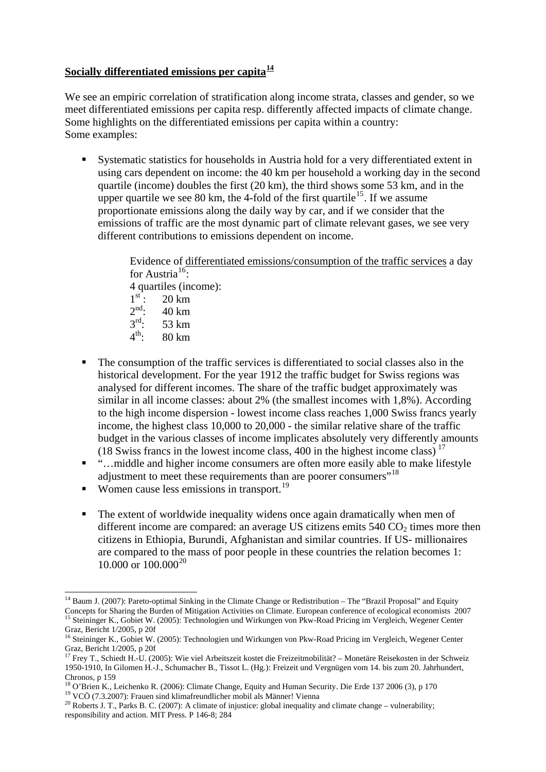## **Socially differentiated emissions per capita[14](#page-7-0)**

We see an empiric correlation of stratification along income strata, classes and gender, so we meet differentiated emissions per capita resp. differently affected impacts of climate change. Some highlights on the differentiated emissions per capita within a country: Some examples:

 Systematic statistics for households in Austria hold for a very differentiated extent in using cars dependent on income: the 40 km per household a working day in the second quartile (income) doubles the first (20 km), the third shows some 53 km, and in the upper quartile we see 80 km, the 4-fold of the first quartile<sup>[15](#page-7-1)</sup>. If we assume proportionate emissions along the daily way by car, and if we consider that the emissions of traffic are the most dynamic part of climate relevant gases, we see very different contributions to emissions dependent on income.

> Evidence of differentiated emissions/consumption of the traffic services a day for Austria<sup>[16](#page-7-2)</sup>: 4 quartiles (income):<br> $1<sup>st</sup>$ : 20 km  $1^{\text{st}}$ : 20 km<br>  $2^{\text{nd}}$ : 40 km  $2^{nd}$ : 40 km<br> $3^{rd}$ : 53 km  $3^{\text{rd}}$ : 53 km<br> $4^{\text{th}}$ : 80 km 4th: 80 km

- The consumption of the traffic services is differentiated to social classes also in the historical development. For the year 1912 the traffic budget for Swiss regions was analysed for different incomes. The share of the traffic budget approximately was similar in all income classes: about 2% (the smallest incomes with 1,8%). According to the high income dispersion - lowest income class reaches 1,000 Swiss francs yearly income, the highest class 10,000 to 20,000 - the similar relative share of the traffic budget in the various classes of income implicates absolutely very differently amounts (18 Swiss francs in the lowest income class, 400 in the highest income class)<sup>[17](#page-7-3)</sup>
- "…middle and higher income consumers are often more easily able to make lifestyle adjustment to meet these requirements than are poorer consumers<sup>"[18](#page-7-4)</sup>
- Women cause less emissions in transport.<sup>[19](#page-7-5)</sup>
- The extent of worldwide inequality widens once again dramatically when men of different income are compared: an average US citizens emits  $540 \text{ CO}_2$  times more then citizens in Ethiopia, Burundi, Afghanistan and similar countries. If US- millionaires are compared to the mass of poor people in these countries the relation becomes 1:  $10.000$  or  $100.000^{20}$  $100.000^{20}$  $100.000^{20}$

<span id="page-7-0"></span><sup>-</sup><sup>14</sup> Baum J. (2007): Pareto-optimal Sinking in the Climate Change or Redistribution – The "Brazil Proposal" and Equity Concepts for Sharing the Burden of Mitigation Activities on Climate. European conference of ecological economists 2007<br><sup>15</sup> Steininger K., Gobiet W. (2005): Technologien und Wirkungen von Pkw-Road Pricing im Vergleich, Weg Graz, Bericht 1/2005, p 20f

<span id="page-7-2"></span><span id="page-7-1"></span><sup>&</sup>lt;sup>16</sup> Steininger K., Gobiet W. (2005): Technologien und Wirkungen von Pkw-Road Pricing im Vergleich, Wegener Center Graz, Bericht 1/2005, p 20f

<span id="page-7-3"></span><sup>&</sup>lt;sup>17</sup> Frey T., Schiedt H.-U. (2005): Wie viel Arbeitszeit kostet die Freizeitmobilität? – Monetäre Reisekosten in der Schweiz 1950-1910, In Gilomen H.-J., Schumacher B., Tissot L. (Hg.): Freizeit und Vergnügen vom 14. bis zum 20. Jahrhundert, Chronos, p 159

<span id="page-7-4"></span><sup>&</sup>lt;sup>18</sup> O'Brien K., Leichenko R. (2006): Climate Change, Equity and Human Security. Die Erde 137 2006 (3), p 170<sup>19</sup> VCÖ (7.3.2007): Frauen sind klimafreundlicher mobil als Männer! Vienna<br><sup>20</sup> Roberts J. T., Parks B. C. (200

<span id="page-7-6"></span><span id="page-7-5"></span>responsibility and action. MIT Press. P 146-8; 284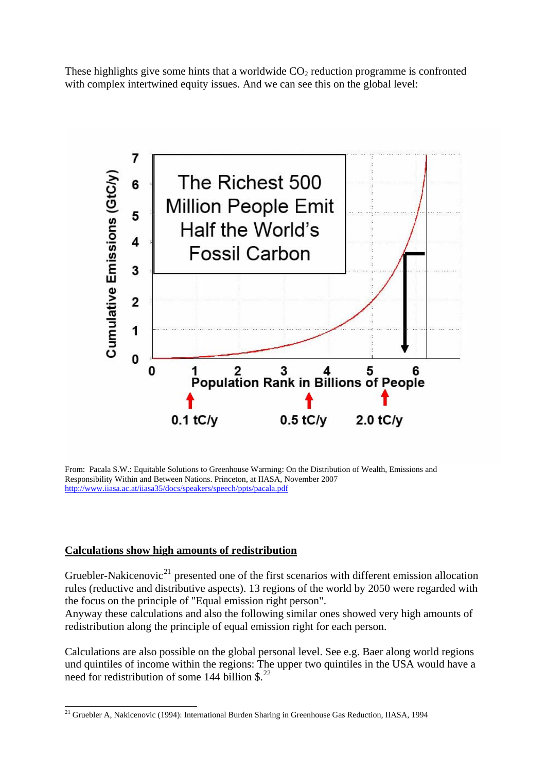These highlights give some hints that a worldwide  $CO<sub>2</sub>$  reduction programme is confronted with complex intertwined equity issues. And we can see this on the global level:



From: Pacala S.W.: Equitable Solutions to Greenhouse Warming: On the Distribution of Wealth, Emissions and Responsibility Within and Between Nations. Princeton, at IIASA, November 2007 <http://www.iiasa.ac.at/iiasa35/docs/speakers/speech/ppts/pacala.pdf>

## **Calculations show high amounts of redistribution**

Gruebler-Nakicenovic<sup>21</sup> presented one of the first scenarios with different emission allocation rules (reductive and distributive aspects). 13 regions of the world by 2050 were regarded with the focus on the principle of "Equal emission right person".

Anyway these calculations and also the following similar ones showed very high amounts of redistribution along the principle of equal emission right for each person.

<span id="page-8-0"></span>Calculations are also possible on the global personal level. See e.g. Baer along world regions und quintiles of income within the regions: The upper two quintiles in the USA would have a need for redistribution of some 144 billion \$.<sup>[22](#page-8-0)</sup>

 $\overline{a}$ <sup>21</sup> Gruebler A, Nakicenovic (1994): International Burden Sharing in Greenhouse Gas Reduction, IIASA, 1994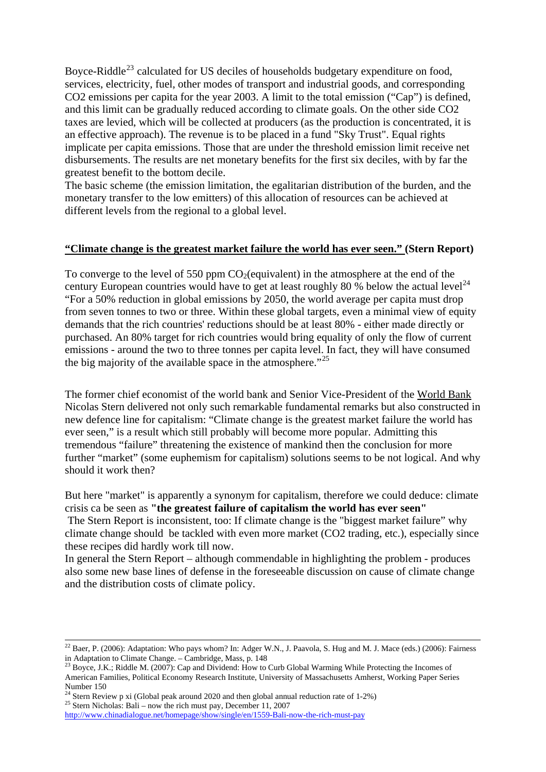Boyce-Riddle<sup>[23](#page-9-0)</sup> calculated for US deciles of households budgetary expenditure on food, services, electricity, fuel, other modes of transport and industrial goods, and corresponding CO2 emissions per capita for the year 2003. A limit to the total emission ("Cap") is defined, and this limit can be gradually reduced according to climate goals. On the other side CO2 taxes are levied, which will be collected at producers (as the production is concentrated, it is an effective approach). The revenue is to be placed in a fund "Sky Trust". Equal rights implicate per capita emissions. Those that are under the threshold emission limit receive net disbursements. The results are net monetary benefits for the first six deciles, with by far the greatest benefit to the bottom decile.

The basic scheme (the emission limitation, the egalitarian distribution of the burden, and the monetary transfer to the low emitters) of this allocation of resources can be achieved at different levels from the regional to a global level.

#### **"Climate change is the greatest market failure the world has ever seen." (Stern Report)**

To converge to the level of 550 ppm  $CO<sub>2</sub>(equivalent)$  in the atmosphere at the end of the century European countries would have to get at least roughly 80 % below the actual level<sup>[24](#page-9-1)</sup> "For a 50% reduction in global emissions by 2050, the world average per capita must drop from seven tonnes to two or three. Within these global targets, even a minimal view of equity demands that the rich countries' reductions should be at least 80% - either made directly or purchased. An 80% target for rich countries would bring equality of only the flow of current emissions - around the two to three tonnes per capita level. In fact, they will have consumed the big majority of the available space in the atmosphere."<sup>[25](#page-9-2)</sup>

The former chief economist of the world bank and Senior Vice-President of the [World Bank](http://en.wikipedia.org/wiki/World_Bank) Nicolas Stern delivered not only such remarkable fundamental remarks but also constructed in new defence line for capitalism: "Climate change is the greatest market failure the world has ever seen," is a result which still probably will become more popular. Admitting this tremendous "failure" threatening the existence of mankind then the conclusion for more further "market" (some euphemism for capitalism) solutions seems to be not logical. And why should it work then?

But here "market" is apparently a synonym for capitalism, therefore we could deduce: climate crisis ca be seen as **"the greatest failure of capitalism the world has ever seen"**

 The Stern Report is inconsistent, too: If climate change is the "biggest market failure" why climate change should be tackled with even more market (CO2 trading, etc.), especially since these recipes did hardly work till now.

In general the Stern Report – although commendable in highlighting the problem - produces also some new base lines of defense in the foreseeable discussion on cause of climate change and the distribution costs of climate policy.

<span id="page-9-2"></span>

 $^{22}$  Baer, P. (2006): Adaptation: Who pays whom? In: Adger W.N., J. Paavola, S. Hug and M. J. Mace (eds.) (2006): Fairness in Adaptation to Climate Change. – Cambridge, Mass, p. 148<br><sup>23</sup> Boyce, J.K.; Riddle M. (2007): Cap and Dividend: How to Curb Global Warming While Protecting the Incomes of

<span id="page-9-0"></span>American Families, Political Economy Research Institute, University of Massachusetts Amherst, Working Paper Series Number 150

<span id="page-9-1"></span><sup>&</sup>lt;sup>24</sup> Stern Review p xi (Global peak around 2020 and then global annual reduction rate of 1-2%)  $^{25}$  [Stern Nicholas: Bali – now the rich must pay, December 11, 2007](http://www.chinadialogue.net/)

<http://www.chinadialogue.net/homepage/show/single/en/1559-Bali-now-the-rich-must-pay>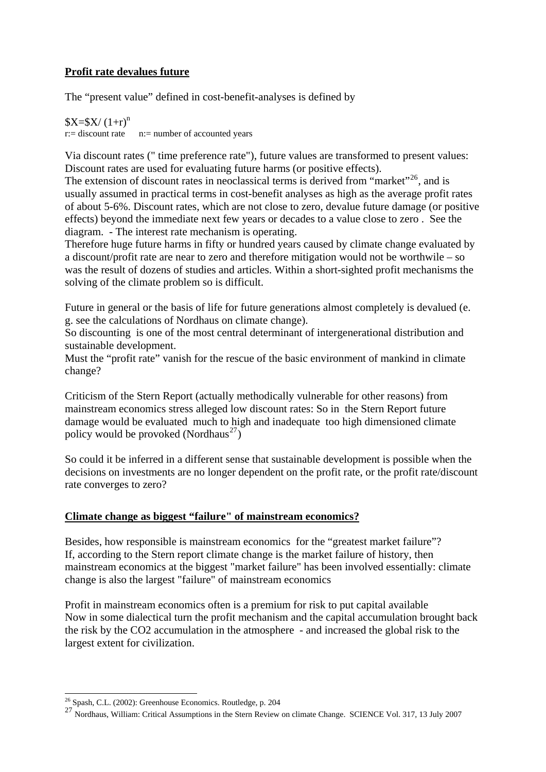## **Profit rate devalues future**

The "present value" defined in cost-benefit-analyses is defined by

 $X=$ \$X/ $(1+r)^n$  $r:=$  discount rate  $n:=$  number of accounted years

Via discount rates (" time preference rate"), future values are transformed to present values: Discount rates are used for evaluating future harms (or positive effects).

The extension of discount rates in neoclassical terms is derived from "market"<sup>[26](#page-10-0)</sup>, and is usually assumed in practical terms in cost-benefit analyses as high as the average profit rates of about 5-6%. Discount rates, which are not close to zero, devalue future damage (or positive effects) beyond the immediate next few years or decades to a value close to zero . See the diagram. - The interest rate mechanism is operating.

Therefore huge future harms in fifty or hundred years caused by climate change evaluated by a discount/profit rate are near to zero and therefore mitigation would not be worthwile – so was the result of dozens of studies and articles. Within a short-sighted profit mechanisms the solving of the climate problem so is difficult.

Future in general or the basis of life for future generations almost completely is devalued (e. g. see the calculations of Nordhaus on climate change).

So discounting is one of the most central determinant of intergenerational distribution and sustainable development.

Must the "profit rate" vanish for the rescue of the basic environment of mankind in climate change?

Criticism of the Stern Report (actually methodically vulnerable for other reasons) from mainstream economics stress alleged low discount rates: So in the Stern Report future damage would be evaluated much to high and inadequate too high dimensioned climate policy would be provoked (Nordhaus<sup>[27](#page-10-1)</sup>)

So could it be inferred in a different sense that sustainable development is possible when the decisions on investments are no longer dependent on the profit rate, or the profit rate/discount rate converges to zero?

## **Climate change as biggest "failure" of mainstream economics?**

Besides, how responsible is mainstream economics for the "greatest market failure"? If, according to the Stern report climate change is the market failure of history, then mainstream economics at the biggest "market failure" has been involved essentially: climate change is also the largest "failure" of mainstream economics

Profit in mainstream economics often is a premium for risk to put capital available Now in some dialectical turn the profit mechanism and the capital accumulation brought back the risk by the CO2 accumulation in the atmosphere - and increased the global risk to the largest extent for civilization.

 $26$  Spash, C.L. (2002): Greenhouse Economics. Routledge, p. 204

<span id="page-10-1"></span><span id="page-10-0"></span><sup>27</sup> Nordhaus, William: Critical Assumptions in the Stern Review on climate Change. SCIENCE Vol. 317, 13 July 2007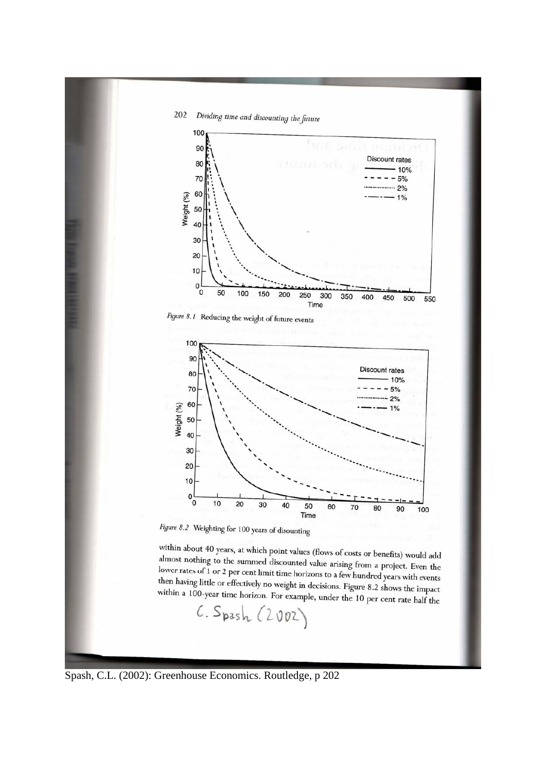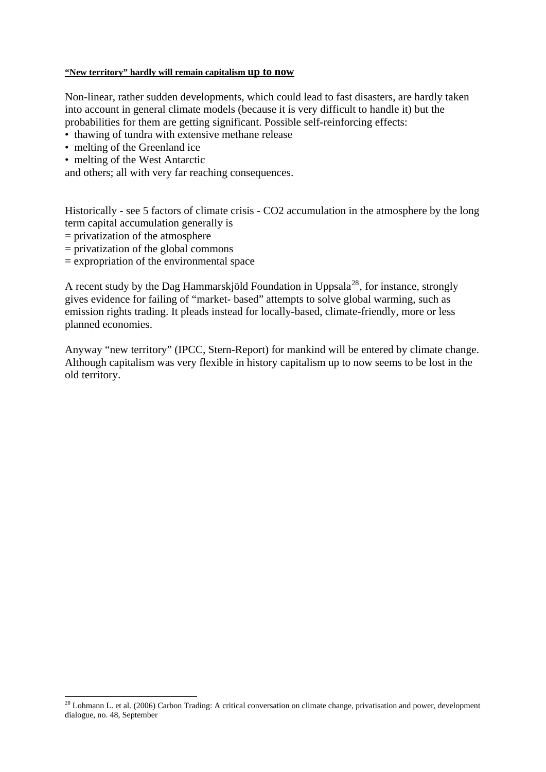#### **"New territory" hardly will remain capitalism up to now**

Non-linear, rather sudden developments, which could lead to fast disasters, are hardly taken into account in general climate models (because it is very difficult to handle it) but the probabilities for them are getting significant. Possible self-reinforcing effects:

- thawing of tundra with extensive methane release
- melting of the Greenland ice
- melting of the West Antarctic

and others; all with very far reaching consequences.

Historically - see 5 factors of climate crisis - CO2 accumulation in the atmosphere by the long term capital accumulation generally is

 $=$  privatization of the atmosphere

-

- $=$  privatization of the global commons
- $=$  expropriation of the environmental space

A recent study by the Dag Hammarskjöld Foundation in Uppsala<sup>[28](#page-12-0)</sup>, for instance, strongly gives evidence for failing of "market- based" attempts to solve global warming, such as emission rights trading. It pleads instead for locally-based, climate-friendly, more or less planned economies.

Anyway "new territory" (IPCC, Stern-Report) for mankind will be entered by climate change. Although capitalism was very flexible in history capitalism up to now seems to be lost in the old territory.

<span id="page-12-0"></span> $^{28}$  Lohmann L. et al. (2006) Carbon Trading: A critical conversation on climate change, privatisation and power, development dialogue, no. 48, September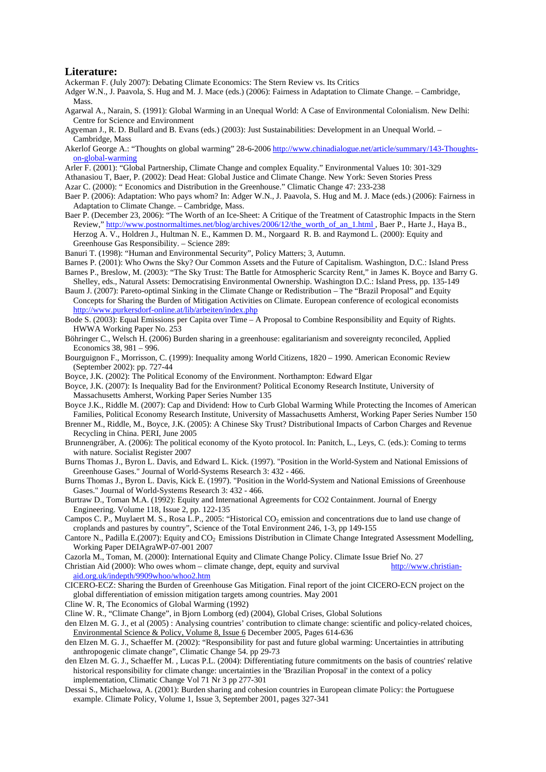#### **Literature:**

Ackerman F. (July 2007): Debating Climate Economics: The Stern Review vs. Its Critics

- Adger W.N., J. Paavola, S. Hug and M. J. Mace (eds.) (2006): Fairness in Adaptation to Climate Change. Cambridge, Mass.
- Agarwal A., Narain, S. (1991): Global Warming in an Unequal World: A Case of Environmental Colonialism. New Delhi: Centre for Science and Environment
- Agyeman J., R. D. Bullard and B. Evans (eds.) (2003): Just Sustainabilities: Development in an Unequal World. Cambridge, Mass
- Akerlof George A.: "Thoughts on global warming" 28-6-2006 [http://www.chinadialogue.net/article/summary/143-Thoughts](http://www.chinadialogue.net/)[on-global-warming](http://www.chinadialogue.net/)
- Arler F. (2001): "Global Partnership, Climate Change and complex Equality." Environmental Values 10: 301-329
- Athanasiou T, Baer, P. (2002): Dead Heat: Global Justice and Climate Change. New York: Seven Stories Press
- Azar C. (2000): " Economics and Distribution in the Greenhouse." Climatic Change 47: 233-238
- Baer P. (2006): Adaptation: Who pays whom? In: Adger W.N., J. Paavola, S. Hug and M. J. Mace (eds.) (2006): Fairness in Adaptation to Climate Change. – Cambridge, Mass.
- Baer P. (December 23, 2006): "The Worth of an Ice-Sheet: A Critique of the Treatment of Catastrophic Impacts in the Stern Review," http://www.postnormaltimes.net/blog/archives/2006/12/the\_worth\_of\_an\_1.html , Baer P., Harte J., Haya B., Herzog A. V., Holdren J., Hultman N. E., Kammen D. M., Norgaard R. B. and Raymond L. (2000): Equity and Greenhouse Gas Responsibility. – Science 289:
- Banuri T. (1998): "Human and Environmental Security", Policy Matters; 3, Autumn.
- Barnes P. (2001): Who Owns the Sky? Our Common Assets and the Future of Capitalism. Washington, D.C.: Island Press Barnes P., Breslow, M. (2003): "The Sky Trust: The Battle for Atmospheric Scarcity Rent," in James K. Boyce and Barry G.
- Shelley, eds., Natural Assets: Democratising Environmental Ownership. Washington D.C.: Island Press, pp. 135-149
- Baum J. (2007): Pareto-optimal Sinking in the Climate Change or Redistribution The "Brazil Proposal" and Equity Concepts for Sharing the Burden of Mitigation Activities on Climate. European conference of ecological economists <http://www.purkersdorf-online.at/lib/arbeiten/index.php>
- Bode S. (2003): Equal Emissions per Capita over Time A Proposal to Combine Responsibility and Equity of Rights. HWWA Working Paper No. 253
- Böhringer C., Welsch H. (2006) Burden sharing in a greenhouse: egalitarianism and sovereignty reconciled, Applied Economics 38, 981 – 996.
- Bourguignon F., Morrisson, C. (1999): Inequality among World Citizens, 1820 1990. American Economic Review (September 2002): pp. 727-44
- Boyce, J.K. (2002): The Political Economy of the Environment. Northampton: Edward Elgar
- Boyce, J.K. (2007): Is Inequality Bad for the Environment? Political Economy Research Institute, University of Massachusetts Amherst, Working Paper Series Number 135
- Boyce J.K., Riddle M. (2007): Cap and Dividend: How to Curb Global Warming While Protecting the Incomes of American Families, Political Economy Research Institute, University of Massachusetts Amherst, Working Paper Series Number 150
- Brenner M., Riddle, M., Boyce, J.K. (2005): A Chinese Sky Trust? Distributional Impacts of Carbon Charges and Revenue Recycling in China. PERI, June 2005
- Brunnengräber, A. (2006): The political economy of the Kyoto protocol. In: Panitch, L., Leys, C. (eds.): Coming to terms with nature. Socialist Register 2007
- Burns Thomas J., Byron L. Davis, and Edward L. Kick. (1997). "Position in the World-System and National Emissions of Greenhouse Gases." Journal of World-Systems Research 3: 432 - 466.
- Burns Thomas J., Byron L. Davis, Kick E. (1997). "Position in the World-System and National Emissions of Greenhouse Gases." Journal of World-Systems Research 3: 432 - 466.
- Burtraw D., Toman M.A. (1992): Equity and International Agreements for CO2 Containment. Journal of Energy Engineering. Volume 118, Issue 2, pp. 122-135
- Campos C. P., Muylaert M. S., Rosa L.P., 2005: "Historical CO<sub>2</sub> emission and concentrations due to land use change of croplands and pastures by country", Science of the Total Environment 246, 1-3, pp 149-155
- Cantore N., Padilla E.(2007): Equity and CO<sub>2</sub> Emissions Distribution in Climate Change Integrated Assessment Modelling, Working Paper DEIAgraWP-07-001 2007
- Cazorla M., Toman, M. (2000): International Equity and Climate Change Policy. Climate Issue Brief No. 27
- Christian Aid (2000): Who owes whom climate change, dept, equity and survival [http://www.christian](http://www.christian-aid.org.uk/indepth/9909whoo/whoo2.htm)[aid.org.uk/indepth/9909whoo/whoo2.htm](http://www.christian-aid.org.uk/indepth/9909whoo/whoo2.htm)
- CICERO-ECZ: Sharing the Burden of Greenhouse Gas Mitigation. Final report of the joint CICERO-ECN project on the global differentiation of emission mitigation targets among countries. May 2001
- Cline W. R, The Economics of Global Warming (1992)
- Cline W. R., "Climate Change", in Bjorn Lomborg (ed) (2004), Global Crises, Global Solutions
- den Elzen M. G. J., et al (2005) : Analysing countries' contribution to climate change: scientific and policy-related choices, [Environmental Science & Policy,](http://www.sciencedirect.com/science?_ob=PublicationURL&_cdi=6198&_pubType=J&_auth=y&_acct=C000050221&_version=1&_urlVersion=0&_userid=10&md5=0706104e1963bb94ad35d1d3ae58a8d5) [Volume 8, Issue 6](http://www.sciencedirect.com/science?_ob=PublicationURL&_tockey=%23TOC%236198%232005%23999919993%23611031%23FLA%23&_cdi=6198&_pubType=J&view=c&_auth=y&_acct=C000050221&_version=1&_urlVersion=0&_userid=10&md5=6a56a1f932d885d0a83373bd47955167) December 2005, Pages 614-636
- den Elzen M. G. J., Schaeffer M. (2002): "Responsibility for past and future global warming: Uncertainties in attributing anthropogenic climate change", Climatic Change 54. pp 29-73
- den Elzen M. G. J., Schaeffer M. , Lucas P.L. (2004): Differentiating future commitments on the basis of countries' relative historical responsibility for climate change: uncertainties in the 'Brazilian Proposal' in the context of a policy implementation, Climatic Change Vol 71 Nr 3 pp 277-301
- Dessai S., Michaelowa, A. (2001): Burden sharing and cohesion countries in European climate Policy: the Portuguese example. Climate Policy, Volume 1, Issue 3, September 2001, pages 327-341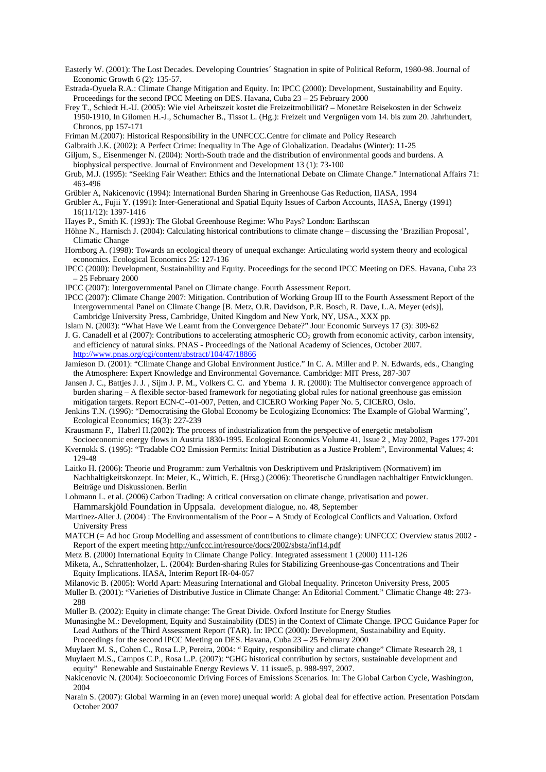- Easterly W. (2001): The Lost Decades. Developing Countries´ Stagnation in spite of Political Reform, 1980-98. Journal of Economic Growth 6 (2): 135-57.
- Estrada-Oyuela R.A.: Climate Change Mitigation and Equity. In: IPCC (2000): Development, Sustainability and Equity. Proceedings for the second IPCC Meeting on DES. Havana, Cuba  $23 - 25$  February 2000
- Frey T., Schiedt H.-U. (2005): Wie viel Arbeitszeit kostet die Freizeitmobilität? Monetäre Reisekosten in der Schweiz 1950-1910, In Gilomen H.-J., Schumacher B., Tissot L. (Hg.): Freizeit und Vergnügen vom 14. bis zum 20. Jahrhundert, Chronos, pp 157-171

Friman M.(2007): Historical Responsibility in the UNFCCC.Centre for climate and Policy Research

- Galbraith J.K. (2002): A Perfect Crime: Inequality in The Age of Globalization. Deadalus (Winter): 11-25
- Giljum, S., Eisenmenger N. (2004): North-South trade and the distribution of environmental goods and burdens. A biophysical perspective. Journal of Environment and Development 13 (1): 73-100
- Grub, M.J. (1995): "Seeking Fair Weather: Ethics and the International Debate on Climate Change." International Affairs 71: 463-496
- Grübler A, Nakicenovic (1994): International Burden Sharing in Greenhouse Gas Reduction, IIASA, 1994
- Grübler A., Fujii Y. (1991): Inter-Generational and Spatial Equity Issues of Carbon Accounts, IIASA, Energy (1991) 16(11/12): 1397-1416
- Hayes P., Smith K. (1993): The Global Greenhouse Regime: Who Pays? London: Earthscan
- Höhne N., Harnisch J. (2004): Calculating historical contributions to climate change discussing the 'Brazilian Proposal', Climatic Change
- Hornborg A. (1998): Towards an ecological theory of unequal exchange: Articulating world system theory and ecological economics. Ecological Economics 25: 127-136
- IPCC (2000): Development, Sustainability and Equity. Proceedings for the second IPCC Meeting on DES. Havana, Cuba 23 – 25 February 2000
- IPCC (2007): Intergovernmental Panel on Climate change. Fourth Assessment Report.
- IPCC (2007): Climate Change 2007: Mitigation. Contribution of Working Group III to the Fourth Assessment Report of the Intergovernmental Panel on Climate Change [B. Metz, O.R. Davidson, P.R. Bosch, R. Dave, L.A. Meyer (eds)], Cambridge University Press, Cambridge, United Kingdom and New York, NY, USA., XXX pp.
- Islam N. (2003): "What Have We Learnt from the Convergence Debate?" Jour Economic Surveys 17 (3): 309-62
- J. G. Canadell et al (2007): Contributions to accelerating atmospheric CO<sub>2</sub> growth from economic activity, carbon intensity, G. Canadell et al (2007): Contributions to accelerating atmospheric CO<sub>2</sub> growth from economic activity, c.<br>and efficiency of natural sinks. PNAS - Proceedings of the National Academy of Sciences, October 2007. <http://www.pnas.org/cgi/content/abstract/104/47/18866>
- Jamieson D. (2001): "Climate Change and Global Environment Justice." In C. A. Miller and P. N. Edwards, eds., Changing the Atmosphere: Expert Knowledge and Environmental Governance. Cambridge: MIT Press, 287-307
- Jansen J. C., Battjes J. J. , Sijm J. P. M., Volkers C. C. and Ybema J. R. (2000): The Multisector convergence approach of burden sharing – A flexible sector-based framework for negotiating global rules for national greenhouse gas emission mitigation targets. Report ECN-C--01-007, Petten, and CICERO Working Paper No. 5, CICERO, Oslo.
- Jenkins T.N. (1996): "Democratising the Global Economy be Ecologizing Economics: The Example of Global Warming", Ecological Economics; 16(3): 227-239
- Krausmann F., Haberl H.(2002): The process of industrialization from the perspective of energetic metabolism
- Socioeconomic energy flows in Austria 1830-1995. Ecological Economics Volume 41, Issue 2 , May 2002, Pages 177-201 Kvernokk S. (1995): "Tradable CO2 Emission Permits: Initial Distribution as a Justice Problem", Environmental Values; 4: 129-48
- Laitko H. (2006): Theorie und Programm: zum Verhältnis von Deskriptivem und Präskriptivem (Normativem) im Nachhaltigkeitskonzept. In: Meier, K., Wittich, E. (Hrsg.) (2006): Theoretische Grundlagen nachhaltiger Entwicklungen. Beiträge und Diskussionen. Berlin
- Lohmann L. et al. (2006) Carbon Trading: A critical conversation on climate change, privatisation and power. Hammarskjöld Foundation in Uppsala. development dialogue, no. 48, September
- Martinez-Alier J. (2004) : The Environmentalism of the Poor A Study of Ecological Conflicts and Valuation. Oxford University Press
- MATCH (= Ad hoc Group Modelling and assessment of contributions to climate change): UNFCCC Overview status 2002 -Report of the expert meeting [http://unfccc.int/resource/docs/2002/sbsta/inf14.pdf](http://unfccc.int/program/mis/brazil/index.html)
- Metz B. (2000) International Equity in Climate Change Policy. Integrated assessment 1 (2000) 111-126
- Miketa, A., Schrattenholzer, L. (2004): Burden-sharing Rules for Stabilizing Greenhouse-gas Concentrations and Their Equity Implications. IIASA, Interim Report IR-04-057
- Milanovic B. (2005): World Apart: Measuring International and Global Inequality. Princeton University Press, 2005
- Müller B. (2001): "Varieties of Distributive Justice in Climate Change: An Editorial Comment." Climatic Change 48: 273- 288
- Müller B. (2002): Equity in climate change: The Great Divide. Oxford Institute for Energy Studies
- Munasinghe M.: Development, Equity and Sustainability (DES) in the Context of Climate Change. IPCC Guidance Paper for Lead Authors of the Third Assessment Report (TAR). In: IPCC (2000): Development, Sustainability and Equity. Proceedings for the second IPCC Meeting on DES. Havana, Cuba 23 – 25 February 2000
- Muylaert M. S., Cohen C., Rosa L.P, Pereira, 2004: " Equity, responsibility and climate change" Climate Research 28, 1
- Muylaert M.S., Campos C.P., Rosa L.P. (2007): "GHG historical contribution by sectors, sustainable development and equity" Renewable and Sustainable Energy Reviews V. 11 issue5, p. 988-997, 2007.
- Nakicenovic N. (2004): Socioeconomic Driving Forces of Emissions Scenarios. In: The Global Carbon Cycle, Washington, 2004
- Narain S. (2007): Global Warming in an (even more) unequal world: A global deal for effective action. Presentation Potsdam October 2007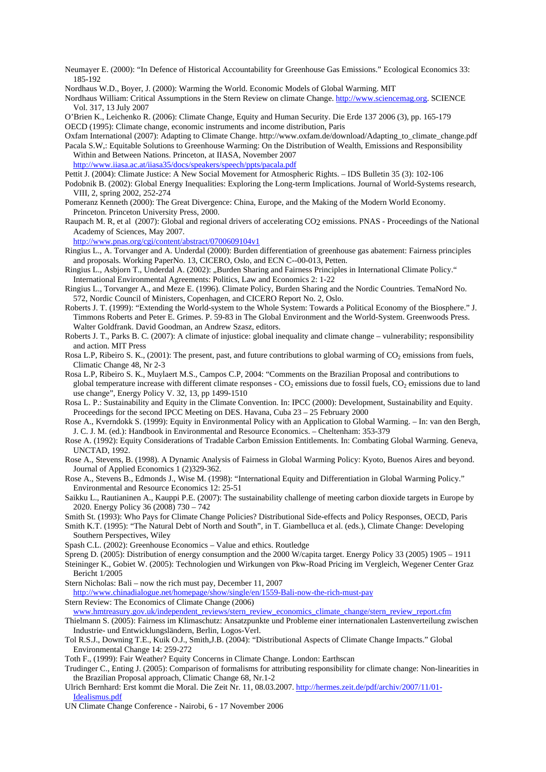Neumayer E. (2000): "In Defence of Historical Accountability for Greenhouse Gas Emissions." Ecological Economics 33: 185-192

Nordhaus W.D., Boyer, J. (2000): Warming the World. Economic Models of Global Warming. MIT

Nordhaus William: Critical Assumptions in the Stern Review on climate Change. [http://www.sciencemag.org.](http://www.sciencemag.org/) SCIENCE Vol. 317, 13 July 2007

O'Brien K., Leichenko R. (2006): Climate Change, Equity and Human Security. Die Erde 137 2006 (3), pp. 165-179 OECD (1995): Climate change, economic instruments and income distribution, Paris

Oxfam International (2007): Adapting to Climate Change. http://www.oxfam.de/download/Adapting\_to\_climate\_change.pdf

Pacala S.W,: Equitable Solutions to Greenhouse Warming: On the Distribution of Wealth, Emissions and Responsibility Within and Between Nations. Princeton, at IIASA, November 2007

<http://www.iiasa.ac.at/iiasa35/docs/speakers/speech/ppts/pacala.pdf>

- Pettit J. (2004): Climate Justice: A New Social Movement for Atmospheric Rights. IDS Bulletin 35 (3): 102-106
- Podobnik B. (2002): Global Energy Inequalities: Exploring the Long-term Implications. Journal of World-Systems research, VIII, 2, spring 2002, 252-274
- Pomeranz Kenneth (2000): The Great Divergence: China, Europe, and the Making of the Modern World Economy. Princeton. Princeton University Press, 2000.
- Raupach M. R, et al (2007): Global and regional drivers of accelerating CO2 emissions. PNAS Proceedings of the National Academy of Sciences, May 2007.

<http://www.pnas.org/cgi/content/abstract/0700609104v1>

Ringius L., A. Torvanger and A. Underdal (2000): Burden differentiation of greenhouse gas abatement: Fairness principles and proposals. Working PaperNo. 13, CICERO, Oslo, and ECN C--00-013, Petten.

Ringius L., Asbjorn T., Underdal A. (2002): "Burden Sharing and Fairness Principles in International Climate Policy." International Environmental Agreements: Politics, Law and Economics 2: 1-22

- Ringius L., Torvanger A., and Meze E. (1996). Climate Policy, Burden Sharing and the Nordic Countries. TemaNord No. 572, Nordic Council of Ministers, Copenhagen, and CICERO Report No. 2, Oslo.
- Roberts J. T. (1999): "Extending the World-system to the Whole System: Towards a Political Economy of the Biosphere." J. Timmons Roberts and Peter E. Grimes. P. 59-83 in The Global Environment and the World-System. Greenwoods Press. Walter Goldfrank. David Goodman, an Andrew Szasz, editors.
- Roberts J. T., Parks B. C. (2007): A climate of injustice: global inequality and climate change vulnerability; responsibility and action. MIT Press
- Rosa L.P, Ribeiro S. K., (2001): The present, past, and future contributions to global warming of  $CO<sub>2</sub>$  emissions from fuels, Climatic Change 48, Nr 2-3
- Rosa L.P, Ribeiro S. K., Muylaert M.S., Campos C.P, 2004: "Comments on the Brazilian Proposal and contributions to global temperature increase with different climate responses -  $CO_2$  emissions due to fossil fuels,  $CO_2$  emissions due to land use change", Energy Policy V. 32, 13, pp 1499-1510
- Rosa L. P.: Sustainability and Equity in the Climate Convention. In: IPCC (2000): Development, Sustainability and Equity. Proceedings for the second IPCC Meeting on DES. Havana, Cuba 23 – 25 February 2000
- Rose A., Kverndokk S. (1999): Equity in Environmental Policy with an Application to Global Warming. In: van den Bergh, J. C. J. M. (ed.): Handbook in Environmental and Resource Economics. – Cheltenham: 353-379
- Rose A. (1992): Equity Considerations of Tradable Carbon Emission Entitlements. In: Combating Global Warming. Geneva, UNCTAD, 1992.
- Rose A., Stevens, B. (1998). A Dynamic Analysis of Fairness in Global Warming Policy: Kyoto, Buenos Aires and beyond. Journal of Applied Economics 1 (2)329-362.
- Rose A., Stevens B., Edmonds J., Wise M. (1998): "International Equity and Differentiation in Global Warming Policy." Environmental and Resource Economics 12: 25-51
- Saikku L., Rautianinen A., Kauppi P.E. (2007): The sustainability challenge of meeting carbon dioxide targets in Europe by 2020. Energy Policy 36 (2008) 730 – 742
- Smith St. (1993): Who Pays for Climate Change Policies? Distributional Side-effects and Policy Responses, OECD, Paris

Smith K.T. (1995): "The Natural Debt of North and South", in T. Giambelluca et al. (eds.), Climate Change: Developing Southern Perspectives, Wiley

- Spash C.L. (2002): Greenhouse Economics Value and ethics. Routledge
- Spreng D. (2005): Distribution of energy consumption and the 2000 W/capita target. Energy Policy 33 (2005) 1905 1911 Steininger K., Gobiet W. (2005): Technologien und Wirkungen von Pkw-Road Pricing im Vergleich, Wegener Center Graz Bericht 1/2005

Stern Nicholas: Bali – now the rich must pay, December 11, 2007

- <http://www.chinadialogue.net/homepage/show/single/en/1559-Bali-now-the-rich-must-pay>
- Stern Review: The Economics of Climate Change (2006)
- [www.hmtreasury.gov.uk/independent\\_reviews/stern\\_review\\_economics\\_climate\\_change/stern\\_review\\_report.cfm](http://www.hmtreasury.gov.uk/independent_reviews/stern_review_economics_climate_change/stern_review_report.cfm)
- Thielmann S. (2005): Fairness im Klimaschutz: Ansatzpunkte und Probleme einer internationalen Lastenverteilung zwischen Industrie- und Entwicklungsländern, Berlin, Logos-Verl.
- Tol R.S.J., Downing T.E., Kuik O.J., Smith,J.B. (2004): "Distributional Aspects of Climate Change Impacts." Global Environmental Change 14: 259-272
- Toth F., (1999): Fair Weather? Equity Concerns in Climate Change. London: Earthscan
- Trudinger C., Enting J. (2005): Comparison of formalisms for attributing responsibility for climate change: Non-linearities in the Brazilian Proposal approach, Climatic Change 68, Nr.1-2
- Ulrich Bernhard: Erst kommt die Moral. Die Zeit Nr. 11, 08.03.2007. [http://hermes.zeit.de/pdf/archiv/2007/11/01-](http://hermes.zeit.de/pdf/archiv/2007/11/01-Idealismus.pdf) [Idealismus.pdf](http://hermes.zeit.de/pdf/archiv/2007/11/01-Idealismus.pdf)
- UN Climate Change Conference Nairobi, 6 17 November 2006